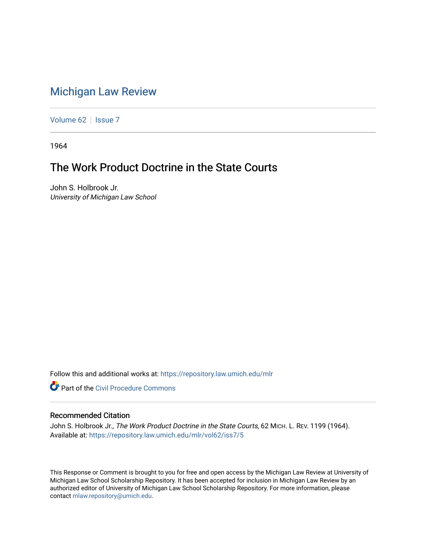# [Michigan Law Review](https://repository.law.umich.edu/mlr)

[Volume 62](https://repository.law.umich.edu/mlr/vol62) | [Issue 7](https://repository.law.umich.edu/mlr/vol62/iss7)

1964

# The Work Product Doctrine in the State Courts

John S. Holbrook Jr. University of Michigan Law School

Follow this and additional works at: [https://repository.law.umich.edu/mlr](https://repository.law.umich.edu/mlr?utm_source=repository.law.umich.edu%2Fmlr%2Fvol62%2Fiss7%2F5&utm_medium=PDF&utm_campaign=PDFCoverPages) 

**C** Part of the Civil Procedure Commons

# Recommended Citation

John S. Holbrook Jr., The Work Product Doctrine in the State Courts, 62 MICH. L. REV. 1199 (1964). Available at: [https://repository.law.umich.edu/mlr/vol62/iss7/5](https://repository.law.umich.edu/mlr/vol62/iss7/5?utm_source=repository.law.umich.edu%2Fmlr%2Fvol62%2Fiss7%2F5&utm_medium=PDF&utm_campaign=PDFCoverPages)

This Response or Comment is brought to you for free and open access by the Michigan Law Review at University of Michigan Law School Scholarship Repository. It has been accepted for inclusion in Michigan Law Review by an authorized editor of University of Michigan Law School Scholarship Repository. For more information, please contact [mlaw.repository@umich.edu](mailto:mlaw.repository@umich.edu).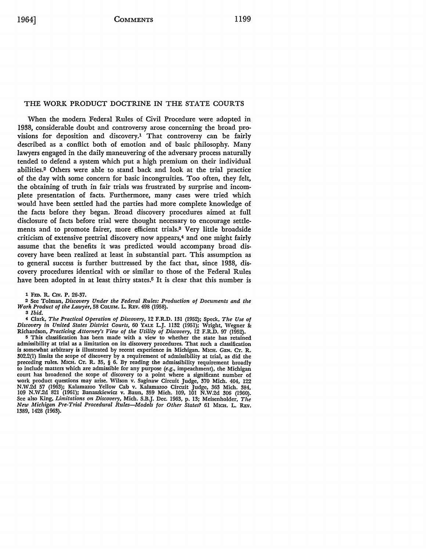# THE WORK PRODUCT DOCTRINE IN THE STATE COURTS

When the modem Federal Rules of Civil Procedure were adopted in 1938, considerable doubt and controversy arose concerning the broad provisions for deposition and discovery.1 That controversy can be fairly described as a conflict both of emotion and of basic philosophy. Many lawyers engaged in the daily maneuvering of the adversary process naturally tended to defend a system which put a high premium on their individual abilities.2 Others were able to stand back and look at the trial practice of the day with some concern for basic incongruities. Too often, they felt, the obtaining of truth in fair trials was frustrated by surprise and incomplete presentation of facts. Furthermore, many cases were tried which would have been settled had the parties had more complete knowledge of the facts before they began. Broad discovery procedures aimed at full disclosure of facts before trial were thought necessary to encourage settlements and to promote fairer, more efficient trials.3 Very little broadside criticism of extensive pretrial discovery now appears,<sup>4</sup> and one might fairly assume that the benefits it was predicted would accompany broad discovery have been realized at least in substantial part. This assumption as to general success is further buttressed by the fact that, since 1938, discovery procedures identical with or similar to those of the Federal Rules have been adopted in at least thirty states.5 It is clear that this number is

1 FED. R. CIV. P. 26-37.

2 See Tolman, *Discovery Under the Federal Rules: Production of Documents and the Work Product of the Lawyer,* 58 CoLUM. L. REv. 498 (1958).

a *Ibid.* 

<sup>4</sup>Clark, *The Practical Operation of Discovery,* 12 F.R.D. 131 (1952); Speck, *The Use of Discovery in United States District Courts,* 60 YALE L.J. 1132 (1951); Wright, Wegner & Richardson, *Practicing Attorney's View of the Utility of Discovery,* 12 F.R.D. 97 (1952).

<sup>5</sup>This classification has been made with a view to whether the state has retained admissibility at trial as a limitation on its discovery procedures. That such a classification is somewhat arbitrary is illustrated by recent experience in Michigan. MICH. GEN. CT. R. 302.2(1) limits the scope of discovery by a requirement of admissibility at trial, as did the preceding rules. MICH. CT. R. 35, § 6. By reading the admissibility requirement broadly to include matters which are admissible for any purpose *(e.g.,* impeachment), the Michigan court has broadened the scope of discovery to a point where a significant number of work product questions may arise. Wilson v. Saginaw Circuit Judge, 370 Mich. 404, 122 N.W.2d 57 (1963); Kalamazoo Yellow Cab v. Kalamazoo Circuit Judge, 363 Mich. 384, 109 N.W.2d 821 (1961); Banaszkiewicz v. Baun, 359 Mich. 109, 101 N.W.2d 306 (1960). See also King, *Limitations on Discovery,* Mich. S.B.J. Dec. 1963, p. 13; Meisenholder, *The New Michigan Pre-Trial Procedural Rules-Models for Other States?* 61 MICH. L. REv. 1389, 1428 (1963).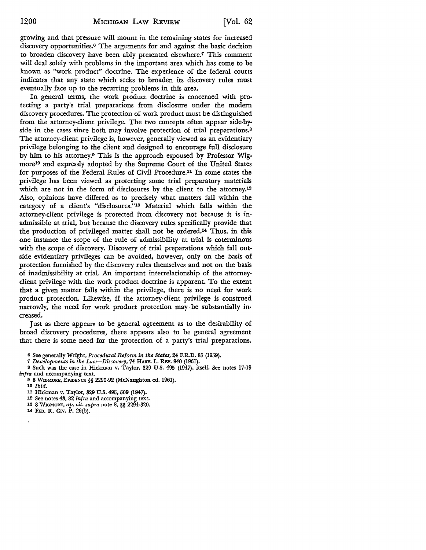growing and that pressure will mount in the remaining states for increased discovery opportunities.6 The arguments for and against the basic decision to broaden discovery have been ably presented elsewhere.7 This comment will deal solely with problems in the important area which has come to be known as "work product" doctrine. The experience of the federal courts indicates that any state which seeks to broaden its discovery rules must eventually face up to the recurring problems in this area.

In general terms, the work product doctrine is concerned with protecting a party's trial preparations from disclosure under the modern discovery procedures. The protection of work product must be distinguished from the attorney-client privilege. The two concepts often appear side-by• side in the cases since both may involve protection of trial preparations.<sup>8</sup> The attorney-client privilege is, however, generally viewed as an evidentiary privilege belonging to the client and designed to encourage full disclosure by him to his attorney.9 This is the approach espoused by Professor Wigmore10 and expressly adopted by the Supreme Court of the United States for purposes of the Federal Rules of Civil Procedure.11 In some states the privilege has been viewed as protecting some trial preparatory materials which are not in the form of disclosures by the client to the attorney.<sup>12</sup> Also, opinions have differed as to precisely what matters fall within the category of a client's "disclosures."18 Material which falls within the attorney-client privilege is protected from discovery not because it is inadmissible at trial, but because the discovery rules specifically provide that the production of privileged matter shall not be ordered.<sup>14</sup> Thus, in this one instance the scope of the rule of admissibility at trial is coterminous with the scope of discovery. Discovery of trial preparations which fall outside evidentiary privileges can be avoided, however, only on the basis of protection furnished by the discovery rules themselves and not on the basis of inadmissibility at trial. An important interrelationship of the attorneyclient privilege with the work product doctrine is apparent. To the **extent**  that a given matter falls within the privilege, there is no need for **work**  product protection. Likewise, if the attorney-client privilege is construed narrowly, the need for work product protection may• be substantially **in•**  creased.

Just as there appears to be general agreement as to the desirability of broad discovery procedures, there appears also to be general agreement that there is some need for the protection of a party's trial preparations.

- 9 8 WIGMORE, EVIDENCE§§ 2290-92 (McNaughton ed. 1961).
- 10 *Ibid.*
- 11 Hickman v. Taylor, 329 U.S. 495, 509 (1947).
- 12 See notes 43, 82 *infra* and accompanying text.
- 18 8 WIGMORE, *op. cit. supra* note 8, §§ 2294-320.
- H FED. R. CIV. P. 26(b).

<sup>6</sup> See generally Wright, *Procedural Reform in the States,* 24 F.R.D. 85 (1959).

<sup>&</sup>lt;sup>7</sup> Developments in the Law-Discovery, 74 HARV. L. REV. 940 (1961).

s Such was the case in Hickman v. Taylor, 329 U.S. 495 (1947), itself. See notes 17-19 *infra* and accompanying text.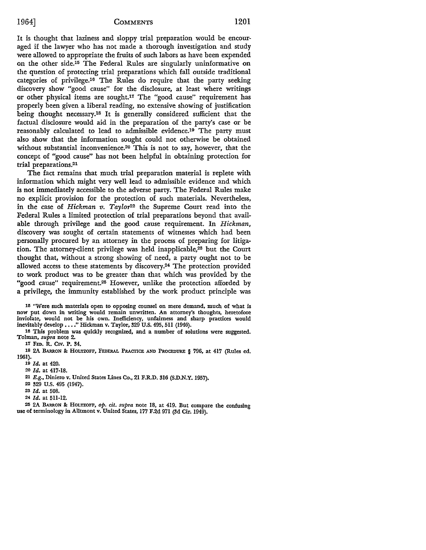It is thought that laziness and sloppy trial preparation would be encouraged if the lawyer who has not made a thorough investigation and study were allowed to appropriate the fruits of such labors as have been expended on the other side.15 The Federal Rules are singularly uninformative on the question of protecting trial preparations which fall outside traditional categories of privilege.16 The Rules do require that the party seeking discovery show "good cause" for the disclosure, at least where writings or other physical items are sought.17 The "good cause" requirement has properly been given a liberal reading, no extensive showing of justification being thought necessary.18 It is generally considered sufficient that the factual disclosure would aid in the preparation of the party's case or be reasonably calculated to lead to admissible evidence.19 The party must also show that the information sought could not otherwise be obtained without substantial inconvenience.<sup>20</sup> This is not to say, however, that the concept of "good cause" has not been helpful in obtaining protection for trial preparations.21

The fact remains that much trial preparation material is replete with information which might very well lead to admissible evidence and which is not immediately accessible to the adverse party. The Federal Rules make no explicit provision for the protection of such materials. Nevertheless, in the case of *Hickman v. Taylor22* the Supreme Court read into the Federal Rules a limited protection of trial preparations beyond that available through privilege and the good cause requirement. In *Hickman,*  discovery was sought of certain statements of witnesses which had been personally procured by an attorney in the process of preparing for litigation. The attorney-client privilege was held inapplicable,<sup>28</sup> but the Court thought that, without a strong showing of need, a party ought not to be allowed access to these statements by discovery.24 The protection provided to work product was to be greater than that which was provided by the "good cause" requirement.<sup>25</sup> However, unlike the protection afforded by a privilege, the immunity established by the work product principle was

15 "Were such materials open to opposing counsel on mere demand, much of what is now put down in writing would remain unwritten. **An** attorney's thoughts, heretofore inviolate, would not be his own. Inefficiency, unfairness and sharp practices would inevitably develop . . . . " Hickman v. Taylor, 329 U.S. 495, 511 (1946).

16 This problem was quickly recognized, and a number of solutions were suggested. Tolman, *supra* note 2.

17 Fm. R. CIV. P. 34.

<sup>18</sup>2A BARRON *8e* HoLTZOFF, FEDERAL PRACfICE AND PROCEDURE § 796, at 417 (Rules ed. 1961).

19 *Id.* at 420.

20 *Id.* at 417-18.

21 E.g., Diniero v. United States Lines Co., 21 F.R.D. 316 (S.D.N.Y. 1957).

- 22 329 U.S. 495 (1947).
- 23 *Id.* at 508.
- 24' *Id.* at 511-12.

25 2A BARRON *8e* HoLTZOFF, *op. cit. supra* note 18, at 419. But compare the confusing use of terminology in Alltmont v. United States, 177 F.2d 971 (3d Cir. 1949).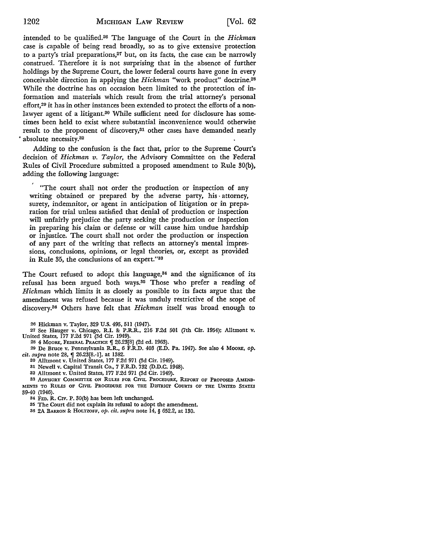intended to be qualified.26 The language of the Court in the *Hickman*  case is capable of being read broadly, so as to give extensive protection to a party's trial preparations,27 but, on its facts, the case can be narrowly construed. Therefore it is not surprising that in the absence of further holdings by the Supreme Court, the lower federal courts have gone in every conceivable direction in applying the *Hickman* "work product" doctrine.28 While the doctrine has on occasion been limited to the protection of information and materials which result from the trial attorney's personal effort,29 it has in other instances been extended to protect the efforts of a nonlawyer agent of a litigant.<sup>30</sup> While sufficient need for disclosure has sometimes been held to exist where substantial inconvenience would otherwise result to the proponent of discovery,<sup>31</sup> other cases have demanded nearly absolute necessity.<sup>32</sup>

Adding to the confusion is the fact that, prior to the Supreme Court's decision of *Hickman v. Taylor,* the Advisory Committee on the Federal Rules of Civil Procedure submitted a proposed amendment to Rule 30(b), adding the following language:

"The court shall not order the production or inspection of any writing obtained or prepared by the adverse party, his attorney, surety, indemnitor, or agent in anticipation of litigation or in preparation for trial unless satisfied that denial of production or inspection will unfairly prejudice the party seeking the production or inspection in preparing his claim or defense or will cause him undue hardship or injustice. The court shall not order the production or inspection of any part of the writing that reflects an attorney's mental impressions, conclusions, opinions, or legal theories, or, except as provided in Rule 35, the conclusions of an expert."33

The Court refused to adopt this language,<sup>34</sup> and the significance of its refusal has been argued both ways.85 Those who prefer a reading of *Hickman* which limits it as closely as possible to its facts argue that the amendment was refused because it was unduly restrictive of the scope of discovery.36 Others have felt that *Hickman* itself was broad enough to

26 Hickman v. Taylor, 329 U.S. 495, 511 (1947).

27 See Hauger v. Chicago, R.I. &: P.R.R., 216 F.2d 501 (7th Cir. 1954); Alltmont v. United States, 177 F.2d 971 (3d Cir. 1949).

28 4 MOORE, FEDERAL PRACTICE 1f 26.23(8] (2d ed. 1963).

29 De Bruce v. Pennsylvania R.R., 6 F.R.D. 403 (E.D. Pa. 1947). See also 4 MooRE, *op. cit. supra* note 28,  $\int$  26.23[8.-1], at 1382.

30 Alltmont v. United States, 177 F.2d 971 (3d Cir. 1949).

31 Newell v. Capital Transit Co., 7 F.R.D. 732 (D.D.C. 1948).

32 Alltmont v. United States, 177 F.2d 971 (3d Cir. 1949).

33 ADVISORY COMMITIEE ON RULES FOR CIVIL PROCEDURE, REPORT OF PROPOSED AMEND· MENTS TO RULES OF CIVIL PROCEDURE FOR THE DISTRICT COURTS OF THE UNITED STATES 39-40 (1946).

84 FED. R. CIV. P. 30(b) has been left unchanged.

35 The Court did not explain its refusal to adopt the amendment.

36 2A BARRON &: HoLTZOFF, *op. cit. supra* note 14, § 652.2, at 130.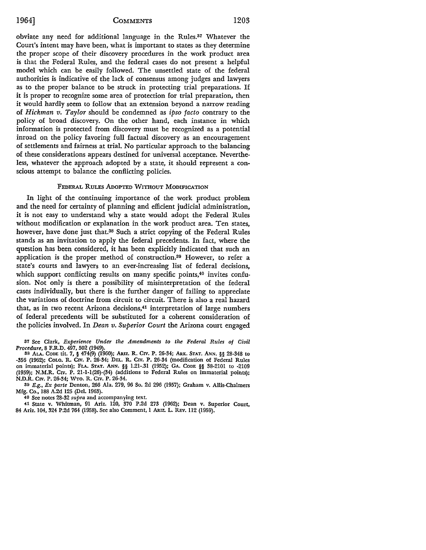obviate any need for additional language in the Rules.37 Whatever the Court's intent may have been, what is important to states as they determine the proper scope of their discovery procedures in the work product area is that the Federal Rules, and the federal cases do not present a helpful model which can be easily followed. The unsettled state of the federal authorities is indicative of the lack of consensus among judges and lawyers as to the proper balance to be struck in protecting trial preparations. If it is proper to recognize some area of protection for trial preparation, then it would hardly seem to follow that an extension beyond a narrow reading of *Hickman v. Taylor* should be condemned as *ipso facto* contrary to the policy of broad discovery. On the other hand, each instance in which information is protected from discovery must be recognized as a potential inroad on the policy favoring full factual discovery as an encouragement of settlements and fairness at trial. No particular approach to the balancing of these considerations appears destined for universal acceptance. Nevertheless, whatever the approach adopted by a state, it should represent a conscious attempt to balance the conflicting policies.

#### FEDERAL RULES ADOPTED WITHOUT MODIFICATION

In light of the continuing importance of the work product problem and the need for certainty of planning and efficient judicial administration, it is not easy to understand why a state would adopt the Federal Rules without modification or explanation in the work product area. Ten states, however, have done just that.38 Such a strict copying of the Federal Rules stands as an invitation to apply the federal precedents. In fact, where the question has been considered, it has been explicitly indicated that such an application is the proper method of construction.39 However, to refer a state's courts and lawyers to an ever-increasing list of federal decisions, which support conflicting results on many specific points,<sup>40</sup> invites confusion. Not only is there a possibility of misinterpretation of the federal cases individually, but there is the further danger of failing to appreciate the variations of doctrine from circuit to circuit. There is also a real hazard that, as in two recent Arizona decisions,41 interpretation of large numbers of federal precedents will be substituted for a coherent consideration of the policies involved. In *Dean v. Superior Court* the Arizona court engaged

<sup>37</sup> See Clark, *Experience Under the Amendments to the Federal Rules of Civil* 

*Procedure,* 8 F.R.D. 497, 502 (1949). 88 ALA. CODE tit. 7, § 474(9) (1960); Aruz. R. CIV. P. 26-34; ARK. STAT. ANN. §§ 28-348 to -356 (1962); CoLO. R. CIV. P. 26-34; DEL. R. CIV. P. 26-34 (modification of Federal Rules on immaterial points); FLA. STAT. ANN. §§ 1.21-.31 (1952); GA. CODE §§ 38-2101 to -2109  $(1959)$ ; N.M.R. CIv. P. 21-1-1 $(26)-(34)$  (additions to Federal Rules on immaterial points); N.D.R. CIV. P. 26-34; WYO. R. CIV. P. 26-34.

so *E.g., Ex parte* Denton, 266 Ala. 279, 96 So. 2d 296 (1957); Graham v. Allis-Chalmers Mfg. Co., 188 A.2d 125 (Del. 1963).

<sup>40</sup> See notes 28-32 *supra* and accompanying text.

<sup>41</sup> State v. Whitman, 91 Ariz. 120, 370 P.2d 273 (1962); Dean v. Superior Court, 84 Ariz. 104, 324 P.2d 764 (1958). See also Comment, 1 ARrz. L. REv. 112 (1959).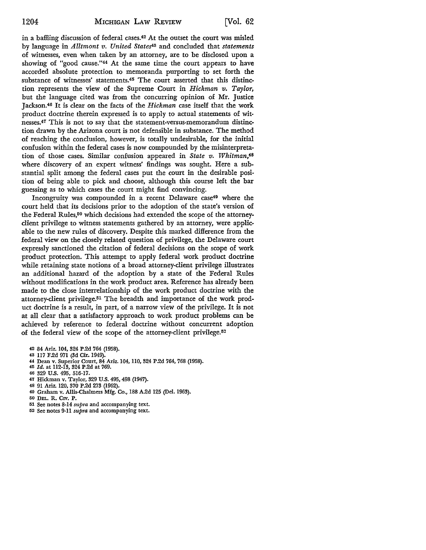in a baffling discussion of federal cases.42 At the outset the court was misled by language in *Alltmont v. United States4*3 and concluded that *statements*  of witnesses, even when taken by an attorney, are to be disclosed upon a showing of "good cause."44 At the same time the court appears to have accorded absolute protection to memoranda purporting to set forth the substance of witnesses' statements.45 The court asserted that this distinction represents the view of the Supreme Court in *Hickman v. Taylor,*  but the language cited was from the concurring opinion of Mr. Justice Jackson.46 It is clear on the facts of the *Hickman* case itself that the work product doctrine therein expressed is to apply to actual statements of witnesses.47 This is not to say that the statement-versus-memorandum distinction drawn by the Arizona court is not defensible in substance. The method of reaching the conclusion, however, is totally undesirable, for the initial confusion within the federal cases is now compounded by the misinterpretation of those cases. Similar confusion appeared in *State v. TVhitman,*<sup>48</sup> where discovery of an expert witness' findings was sought. Here a substantial split among the federal cases put the court in the desirable position of being able to pick and choose, although this course left the bar guessing as to which cases the court might find convincing.

Incongruity was compounded in a recent Delaware case<sup>49</sup> where the court held that its decisions prior to the adoption of the state's version of the Federal Rules,<sup>50</sup> which decisions had extended the scope of the attorneyclient privilege to witness statements gathered by an attorney, were applicable to the new rules of discovery. Despite this marked difference from the federal view on the closely related question of privilege, the Delaware court expressly sanctioned the citation of federal decisions on the scope of work product protection. This attempt to apply federal work product doctrine while retaining state notions of a broad attorney-client privilege illustrates an additional hazard of the adoption by a state of the Federal Rules without modifications in the work product area. Reference has already been made to the close interrelationship of the work product doctrine with the attorney-client privilege.51 The breadth and importance of the work product doctrine is a result, in part, of a narrow view of the privilege. It is not at all clear that a satisfactory approach to work product problems can be achieved by reference to federal doctrine without concurrent adoption of the federal view of the scope of the attorney-client privilege.52

- 42 84 Ariz. 104,324 P.2d 764 (1958).
- <sup>43</sup>II7 F.2d 971 (3d Cir. 1949).
- 44 Dean v. Superior Court, 84 Ariz.104, IIO, 324 P.2d 764,768 (1958). 45 *Id.* at ll2-13, 324 P.2d at 769.
- 
- 46 329 U.S. 495, 516-17.
- 47 Hickman v. Taylor, 329 U.S. 495, 498 (1947).
- 48 91 Ariz. 120, 370 P.2d 273 (1962).
- 49 Graham v. Allis-Chalmers Mfg. Co., 188 A.2d 125 (Del. 1963).
- 50 DEL. R. CIV. P.
- 51 See notes 8-14 *supra* and accompanying text.
- 52 See notes 9-ll *supra* and accompanying text.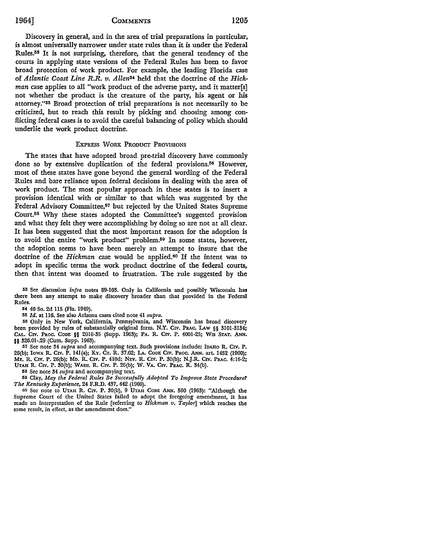Discovery in general, and in the area of trial preparations in particular, is almost universally narrower under state rules than it is under the Federal Rules.<sup>58</sup> It is not surprising, therefore, that the general tendency of the courts in applying state versions of the Federal Rules has been to favor broad protection of work product. For example, the leading Florida case of *Atlantic Coast Line R.R. v. Allen*<sup>54</sup> held that the doctrine of the *Hickman* case applies to all "work product of the adverse party, and it matter[s] not whether the product is the creature of the party, his agent or his attorney."<sup>55</sup> Broad protection of trial preparations is not necessarily to be criticized, but to reach this result by picking and choosing among conflicting federal cases is to avoid the careful balancing of policy which should underlie the work product doctrine.

# EXPRESS WORK PRODUCT PROVISIONS

The states that have adopted broad pre-trial discovery have commonly done so by extensive duplication of the federal provisions.<sup>56</sup> However, most of these states have gone beyond the general wording of the Federal Rules and bare reliance upon federal decisions in dealing with the area of work product. The most popular approach in these states is to insert a provision identical with or similar to that which was suggested by the Federal Advisory Committee,<sup>57</sup> but rejected by the United States Supreme Court.<sup>58</sup> Why these states adopted the Committee's suggested provision and what they felt they were accomplishing by doing so are not at all clear. It has been suggested that the most important reason for the adoption is to avoid the entire "work product" problem.<sup>59</sup> In some states, however, the adoption seems to have been merely an attempt to insure that the doctrine of the *Hickman* case would be applied.60 If the intent was to adopt in specific terms the work product doctrine of the federal courts, then that intent was doomed to frustration. The rule suggested by the

<sup>113</sup>See discussion *infra* notes 89-103. Only in California and possibly Wisconsin **has**  there been any attempt to make discovery broader than that provided in the Federal Rules.

M 40 So. 2d 115 (Fla. 1949).

<sup>1111</sup>*Id.* at 116. See also Arizona cases cited note 41 *supra.* 

116 Only in New York, California, Pennsylvania, and Wisconsin bas broad discovery been provided by rules of substantially original form. N.Y. CIV. PRAc. LAw §§ 3101-3134; CAL. CIV. PROC. CODE §§ 2016-35 (Supp. 1963); PA. R. CIV. P. 4001-25; WIS STAT. ANN. §§ 326.01-.29 (Cum. Supp. 1963).

157 See note 34 *supra* and accompanying text. Such provisions include: IDAHO R. CIV. P. 26(b); Iowa R. Civ. P. 141(a); Ky. CT. R. 37.02; LA. CODE CIV. PROC. ANN. art. 1452 (1960); ME. R. CIV. P. 26(b); MD. R. CIV. P. 410d; NEV. R. CIV. P. 30(b); N.J.R. CIV. PRAc. 4:16-2; UTAH R. CIV. P. 30(b); WASH. R. CIV. P. 26(b); W. VA. CIV. PRAC. R. 34(b).

<sup>118</sup>Sec note 34 *supra* and accompanying text.

119 Clay, *May the Federal Rules Be Successfully Adopted To Improve State Procedure? The Kentucky Experience,* 24 F.R.D. 437,442 (1960).

oo Sec note to UTAH R. Cxv. P. 30(b), 9 UTAH CODE ANN. 560 (1963): "Although the Supreme Court of the United States failed to adopt the foregoing amendment, it bas made an interpretation of the Rule [referring to *Hickman v. Taylor]* which reaches the same result, in effect, as the amendment does."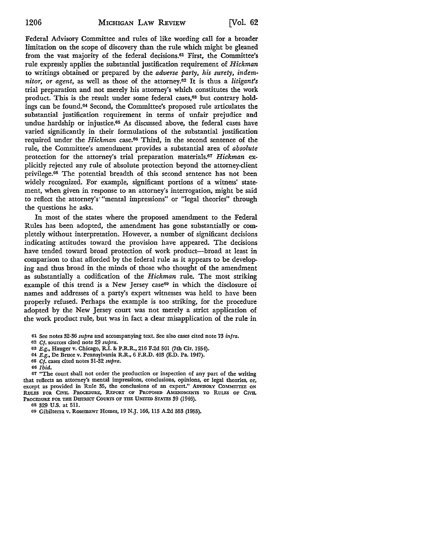Federal Advisory Committee and rules of like wording call for a broader limitation on the scope of discovery than the rule which might be gleaned from the vast majority of the federal decisions.61 First, the Committee's rule expressly applies the substantial justification requirement of *Hickman*  to writings obtained or prepared by the *adverse party, his surety, indemnitor; or agent,* as well as those of the attorney.62 It is thus a *litigant's*  trial preparation and not merely his attorney's which constitutes the work product. This is the result under some federal cases,<sup>68</sup> but contrary holdings can be found.64 Second, the Committee's proposed rule articulates the substantial justification requirement in terms of unfair prejudice and undue hardship or injustice.65 As discussed above, the federal cases have varied significantly in their formulations of the substantial justification required under the *Hickman* case.66 Third, in the second sentence of the rule, the Committee's amendment provides a substantial area of *absolute*  protection for the attorney's trial preparation materials.67 *Hickman* explicitly rejected any rule of absolute protection beyond the attorney-client privilege.68 The potential breadth of this second sentence has not been widely recognized. For example, significant portions of a witness' statement, when given in response to an attorney's interrogation, might be said to reflect the attorney's' "mental impressions" or "legal theories" through the questions he asks.

In most of the states where the proposed amendment to the Federal Rules has been adopted, the amendment has gone substantially or completely without interpretation. However, a number of significant decisions indicating attitudes toward the provision have appeared. The decisions have tended toward broad protection of work product-broad at least **in**  comparison to that afforded by the federal rule as it appears to be developing and thus broad **in** the minds of those who thought of the amendment as substantially a codification of the *Hickman* rule. The most striking example of this trend is a New Jersey case<sup>69</sup> in which the disclosure of names and addresses of a party's expert witnesses was held to have been properly refused. Perhaps the example is too striking, for the procedure adopted by the New Jersey court was not merely a strict application of the work product rule, but was in fact a clear misapplication of the rule in

- 61 See notes 32-36 supra and accompanying text. See also cases cited note 73 infra.
- 62 Cf. sources cited note 29 supra.

67 "The court shall not order the production or inspection of any part of the writing that reflects an attorney's mental impressions, conclusions, opinions, or legal theories, or, except as provided in Rule 35, the conclusions of an expert." ADVISORY COMMITTEE ON RULES FOR CIVIL PROCEDURE, REPORT OF PROPOSED AMENDMENTS TO RULES OF CIVIL PROCEDURE FOR THE DISTRICT COURTS OF THE UNITED STATES 39 (1946).

68 329 U.S. at 5ll.

69 Gibilterra v. Rosemawr Homes, 19 N.J. 166, ll5 A.2d 553 (1955).

<sup>63</sup> E.g., Hauger v. Chicago, R.I. 8e P.R.R., 216 F.2d 501 (7th Cir. 1954).

<sup>64</sup> E.g., De Bruce v. Pennsylvania R.R., 6 F.R.D. 403 (E.D. Pa. 1947).

<sup>65</sup> Cf. cases cited notes 31-32 supra.

<sup>66</sup> *Ibid.*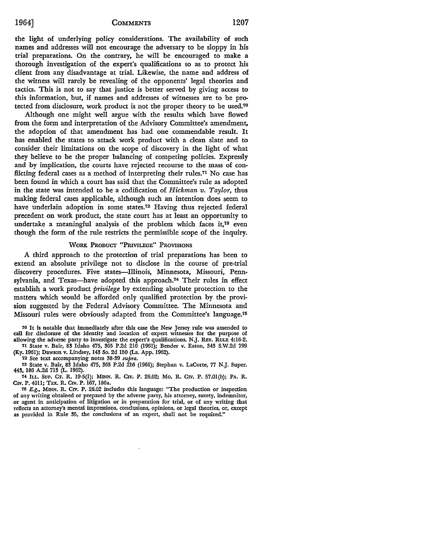the light of underlying policy considerations. The availability of such names and addresses will not encourage the adversary to be sloppy in his trial preparations. On the contrary, he will be encouraged to make a thorough investigation of the expert's qualifications so as to protect his client from any disadvantage at trial. Likewise, the name and address of the witness will rarely be revealing of the opponents' legal theories and tactics. This is not to say that justice is better served by giving access to this information, but, if names and addresses of witnesses are to be protected from disclosure, work product is not the proper theory to be used.70

Although one might well argue with the results which have flowed from the form and interpretation of the Advisory Committee's amendment, the adoption of that amendment has had one commendable result. It has enabled the states to attack work product with a clean slate and to consider their limitations on the scope of discovery in the light of what they believe to be the proper balancing of competing policies. Expressly and by implication, the courts have rejected recourse to the mass of conflicting federal cases as a method of interpreting their rules.71 No case has been found in which a court has said that the Committee's rule as adopted in the state was intended to be a codification of *Hickman v. Taylor,* thus making federal cases applicable, although such an intention does seem to have underlain adoption in some states.72 Having thus rejected federal precedent on work product, the state court has at least an opportunity to undertake a meaningful analysis of the problem which faces it,73 even though the form of the rule restricts the permissible scope of the inquiry.

# WORK PRODUCT "PruvlLEGE" PROVISIONS

A third approach to the protection of trial preparations has been to extend an absolute privilege not to disclose in the course of pre-trial discovery procedures. Five states-Illinois, Minnesota, Missouri, Pennsylvania, and Texas-have adopted this approach.74 Their rules in effect establish a work product *privilege* by extending absolute protection to the matters which would be afforded only qualified protection by the provision suggested by the Federal Advisory Committee. The Minnesota and Missouri rules were obviously adapted from the Committee's language.<sup>75</sup>

70 It is notable that immediately after this case the New Jersey rule was amended to call for disclosure of the identity and location of expert witnesses for the purpose of allowing the adverse party to investigate the expert's qualifications. N.J. REV. RULE 4:16-2. 71 State v. Bair, 83 Idaho 475, 365 P.2d 216 (1961); Bender v. Eaton, 343 S.W.2d 799

(Ky. 1961); Dawson v. Lindsey, 143 So. 2d 150 (La. App. 1962).

72 See text accompanying notes 38-39 *supra.* 

73 State v. Bair, 83 Idaho 475, 365 P.2d 216 (1961); Stephan v. Lacorte, 77 N.J. Super. 443, 186 A.2d 713 (L. 1962).

74 ILL. SUP. CT. R. 19-5(1); MINN. R. CIV. P. 26.02; Mo. R. CIV. P. 57.0l(b); PA. R. CIV. P. 4011; TEX. R. CIV. P. 167, 186a.

75 E.g., MINN. R. CIV. P. 26.02 includes this language: "The production or inspection of any writing obtained or prepared by the adverse party, his attorney, surety, indemnitor, or agent in anticipation of litigation or in preparation for trial, or of any writing that reflects an attorney's mental impressions, conclusions, opinions, or legal theories, or, except as provided in Rule 35, the conclusions of an expert, shall not be required."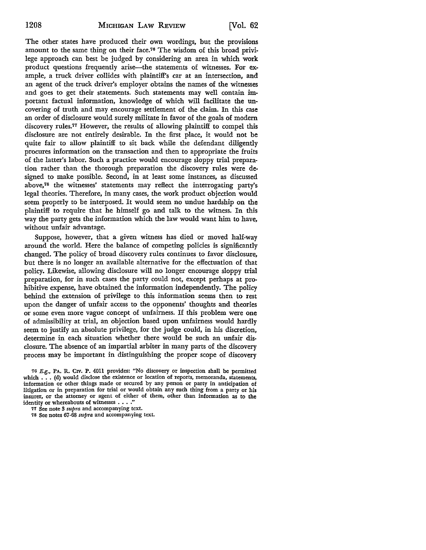The other states have produced their own wordings, but the provisions amount to the same thing on their face.76 The wisdom of this broad privilege approach can best be judged by considering an area in which work product questions frequently arise—the statements of witnesses. For example, a truck driver collides with plaintiff's car at an intersection, and an agent of the truck driver's employer obtains the names of the witnesses and goes to get their statements. Such statements may well contain important factual information, knowledge of which will facilitate the uncovering of truth and may encourage settlement of the claim. In this case an order of disclosure would surely militate in favor of the goals of modem discovery rules.77 However, the results of allowing plaintiff to compel this disclosure are not entirely desirable. In the first place, it would not be quite fair to allow plaintiff to sit back while the defendant diligently procures information on the transaction and then to appropriate the fruits of the latter's labor. Such a practice would encourage sloppy trial preparation rather than the thorough preparation the discovery rules were designed to make possible. Second, in at least some instances, as discussed above,78 the witnesses' statements may reflect the interrogating party's legal theories. Therefore, in many cases, the work product objection would seem properly to be interposed. It would seem no undue hardship on the plaintiff to require that he himself go and talk to the witness. In this way the party gets the information which the law would want him to have, without unfair advantage.

Suppose, however, that a given witness has died or moved half-way around the world. Here the balance of competing policies is significantly changed. The policy of broad discovery rules continues to favor disclosure, but there is no longer an available alternative for the effectuation of that policy. Likewise, allowing disclosure will no longer encourage sloppy trial preparation, for in such cases the party could not, except perhaps at pro• hibitive expense, have obtained the information independently. The policy behind the extension of privilege to this information seems then to rest upon the danger of unfair access to the opponents' thoughts and theories or some even more vague concept of unfairness. If this problem were one of admissibility at trial, an objection based upon unfairness would hardly seem to justify an absolute privilege, for the judge could, in his discretion, determine in each situation whether there would be such an unfair dis• closure. The absence of an impartial arbiter in many parts of the discovery process may be important in distinguishing the proper scope of discovery

<sup>76</sup> E.g., PA. R. CIV. P. 4011 provides: "No discovery or inspection shall be permitted which  $\ldots$  (d) would disclose the existence or location of reports, memoranda, statements, information or other things made or secured by any person or party in anticipation of litigation or in preparation for trial or would obtain any such thing from a party or his insurer, or the attorney or agent of either of them, other than information as to the identity or whereabouts of witnesses . . . ."

<sup>77</sup> See note 3 *supra* and accompanying text.

<sup>78</sup> See notes 67-68 *supra* and accompanying text.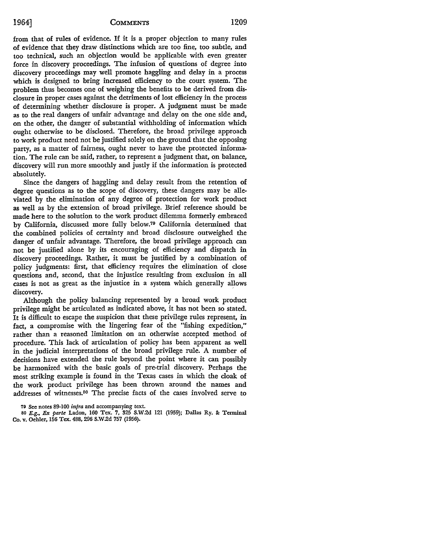from that of rules of evidence. If it is a proper objection to many rules of evidence that they draw distinctions which are too fine, too subtle, and too technical, such an objection would be applicable with even greater force in discovery proceedings. The infusion of questions of degree into discovery proceedings may well promote haggling and delay in a process which is designed to bring increased efficiency to the court system. The problem thus becomes one of weighing the benefits to be derived from disclosure in proper cases against the detriments of lost efficiency in the process of determining whether disclosure is proper. A judgment must be made as to the real dangers of unfair advantage and delay on the one side and, on the other, the danger of substantial withholding of information which ought otherwise to be disclosed. Therefore, the broad privilege approach to work product need not be justified solely on the ground that the opposing party, as a matter of fairness, ought never to have the protected information. The rule can be said, rather, to represent a judgment that, on balance, discovery will run more smoothly and justly if the information is protected absolutely.

Since the dangers of haggling and delay result from the retention of degree questions as to the scope of discovery, these dangers may be alle• viated by the elimination of any degree of protection for work product as well as by the extension of broad privilege. Brief reference should be made here to the solution to the work product dilemma formerly embraced by California, discussed more fully below.<sup>79</sup> California determined that the combined policies of certainty and broad disclosure outweighed the danger of unfair advantage. Therefore, the broad privilege approach can not be justified alone by its encouraging of efficiency and dispatch in discovery proceedings. Rather, it must be justified by a combination of policy judgments: first, that efficiency requires the elimination of close questions and, second, that the injustice resulting from exclusion in all cases is not as great as the injustice in a system which generally allows discovery.

Although the policy balancing represented by a broad work product privilege might be articulated as indicated above, it has not been so stated. It is difficult to escape the suspicion that these privilege rules represent, in fact, a compromise with the lingering fear of the "fishing expedition," rather than a reasoned limitation on an otherwise accepted method of procedure. This lack of articulation of policy has been apparent as well in the judicial interpretations of the broad privilege rule. A number of decisions have extended the rule beyond the point where it can possibly be harmonized with the basic goals of pre-trial discovery. Perhaps the most striking example is found in the Texas cases in which the cloak of the work product privilege has been thrown around the names and addresses of witnesses.80 The precise facts of the cases involved serve to

79 See notes 89-100 infra and accompanying text.

so E.g., Ex *parte* Ladon, 160 Tex. 7, 325 S.W.2d 121 (1959); Dallas Ry. & Terminal Co. v. Oehler, 156 Tex. 488, 296 S.W .2d 757 (1956).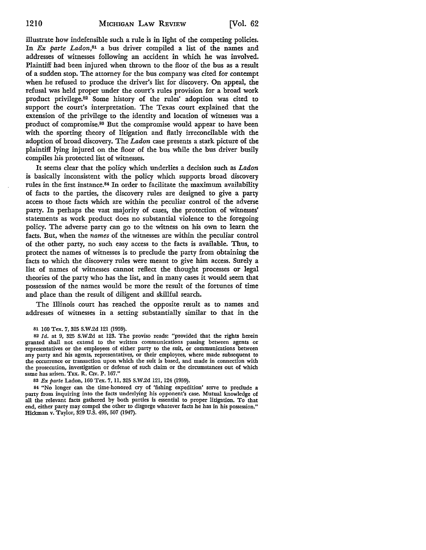illustrate how indefensible such a rule is in light of the competing policies. In *Ex parte Ladon,81* a bus driver compiled a list of the names and addresses of witnesses following an accident in which he was involved. Plaintiff had been injured when thrown to the floor of the bus as a result of a sudden stop. The attorney for the bus company was cited for contempt when he refused to produce the driver's list for discovery. On appeal, the refusal was held proper under the court's rules provision for a broad work product privilege.82 Some history of the rules' adoption was cited to support the court's interpretation. The Texas court explained that the extension of the privilege to the identity and location of witnesses was a product of compromise.83 But the compromise would appear to have been with the sporting theory of litigation and flatly irreconcilable with the adoption of broad discovery. The *Ladon* case presents a stark picture of the plaintiff lying injured on the floor of the bus while the bus driver busily compiles his protected list of witnesses.

It seems clear that the policy which underlies a decision such as *Ladon*  is basically inconsistent with the policy which supports broad discovery rules in the first instance.84 In order to facilitate the maximum availability of facts to the parties, the discovery rules are designed to give a party access to those facts which are within the peculiar control of the adverse party. In perhaps the vast majority of cases, the protection of witnesses' statements as work product does no substantial violence to the foregoing policy. The adverse party can go to the witness on his own to learn the facts. But, when the *names* of the witnesses are within the peculiar control of the other party, no such easy access to the facts is available. Thus, to protect the names of witnesses is to preclude the party from obtaining the facts to which the discovery rules were meant to give him access. Surely a list of names of witnesses cannot reflect the thought processes or legal theories of the party who has the list, and *in* many cases it would seem that possession of the names would be more the result of the fortunes of time and place than the result of diligent and skillful search.

The Illinois court has reached the opposite result as to names and addresses of witnesses in a setting substantially similar to that in the

82 *Id.* at 9, 325 S.W.2d at 123. The proviso reads: "provided that the rights herein granted shall not extend to the written communications passing between agents or representatives or the employees of either party to the suit, or communications between any party and his agents, representatives, or their employees, where made subsequent to the occurrence or transaction upon which the suit is based, and made in connection with the prosecution, investigation or defense of such claim or the circumstances out of which same has arisen. TEX. R. CIV. P. 167."

83 *Ex parte* Laden, 160 Tex. 7, 11,325 S.W.2d 121, 124 (1959).

84 "No longer can the time-honored cry of 'fishing expedition' serve to preclude a party from inquiring into the facts underlying his opponent's case. Mutual knowledge of all the relevant facts gathered by both parties is essential to proper litigation. To that end, either party may compel the other to disgorge whatever facts he has in his possession." Hickman v. Taylor, 329 U.S. 495, 507 (1947).

<sup>81 160</sup> Tex. 7,325 S.W.2d 121 (1959).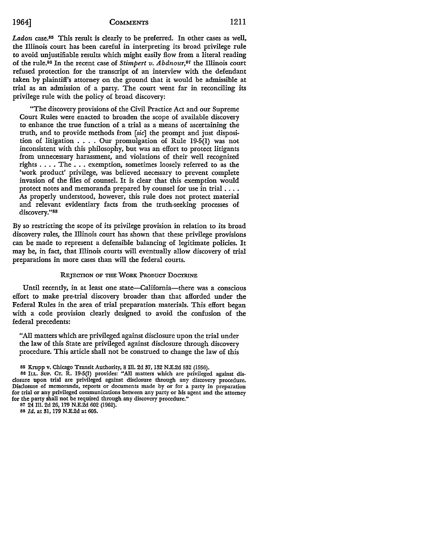Ladon case.<sup>85</sup> This result is clearly to be preferred. In other cases as well, the Illinois court has been careful in interpreting its broad privilege rule to avoid unjustifiable results which might easily flow from a literal reading of the rule.86 In the recent case of *Stimpert v. Abdnour,*87 the Illinois court refused protection for the transcript of an interview with the defendant taken by plaintiff's attorney on the ground that it would be admissible at trial as an admission of a party. The court went far in reconciling its privilege rule with the policy of broad discovery:

"The discovery provisions of the Civil Practice Act and our Supreme Court Rules were enacted to broaden the scope of available discovery to enhance the true function of a trial as a means of ascertaining the truth, and to provide methods from [sic] the prompt and just disposition of litigation .... Our promulgation of Rule 19-5(1) was not inconsistent with this philosophy, but was an effort to protect litigants from unnecessary harassment, and violations of their well recognized rights . . . . The . . . exemption, sometimes loosely referred to as the 'work product' privilege, was believed necessary to prevent complete invasion of the files of counsel. It is clear that this exemption would protect notes and memoranda prepared by counsel for use in trial .... As properly understood, however, this rule does not protect material and relevant evidentiary facts from the truth-seeking processes of discovery."88

By so restricting the scope of its privilege provision in relation to its broad discovery rules, the Illinois court has shown that these privilege provisions can be made to represent a defensible balancing of legitimate policies. It may be, in fact, that Illinois courts will eventually allow discovery of trial preparations in more cases than will the federal courts.

#### REJECTION OF THE WORK PRODUCT DOCTRINE

Until recently, in at least one state—California—there was a conscious effort to make pre-trial discovery broader than that afforded under the Federal Rules in the area of trial preparation materials. This effort began with a code provision clearly designed to avoid the confusion of the federal precedents:

"All matters which are privileged against disclosure upon the trial under the law of this State are privileged against disclosure through discovery procedure. This article shall not be construed to change the law of this

86 ILL. SUP. CT. R. 19-5(1) provides: "All matters which are privileged against disclosure upon trial are privileged against disclosure through any discovery procedure. Disclosure of memoranda, reports or documents made by or for a party in preparation for trial or any privileged communications between any party or his agent and the attorney for the party shall not be required through any discovery procedure."

BB *Id.* at 31, 179 N.E.2d at 605.

BIS Krupp v. Chicago Transit Authority, 8 Ill. 2d 37, 132 N.E.2d 532 (1956).

<sup>87 24</sup> Ill. 2d 26, 179 N.E.2d 602 (1962).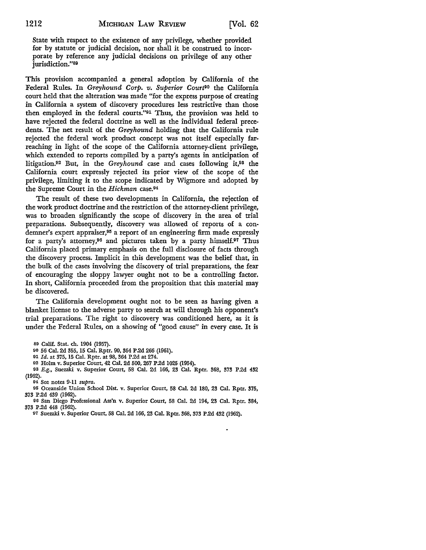State with respect to the existence of any privilege, whether provided for by statute or judicial decision, nor shall it be construed to incorporate by reference any judicial decisions on privilege of any other jurisdiction."89

This provision accompanied a general adoption by California of the Federal Rules. In *Greyhound Corp. v. Superior Court90* the California court held that the alteration was made "for the express purpose of creating in California a system of discovery procedures less restrictive than those then employed in the federal courts."91 Thus, the provision was held to have rejected the federal doctrine as well as the individual federal precedents. The net result of the *Greyhound* holding that the California rule rejected the federal work product concept was not itself especially farreaching in light of the scope of the California attorney-client privilege, which extended to reports compiled by a party's agents in anticipation of litigation.92 But, in the *Greyhound* case and cases following it,93 the California court expressly rejected its prior view of the scope of the privilege, limiting it to the scope indicated by Wigmore and adopted by the Supreme Court in the *Hickman* case.94

The result of these two developments in California, the rejection of the work product doctrine and the restriction of the attorney-client privilege, was to broaden significantly the scope of discovery in the area of trial preparations. Subsequently, discovery was allowed of reports of a condemner's expert appraiser,95 a report of an engineering firm made expressly for a party's attorney,<sup>96</sup> and pictures taken by a party himself.<sup>97</sup> Thus California placed primary emphasis on the full disclosure of facts through the discovery process. Implicit in this development was the belief that, in the bulk of the cases involving the discovery of trial preparations, the fear of encouraging the sloppy lawyer ought not to be a controlling factor. In short, California proceeded from the proposition that this material may be discovered.

The California development ought not to be seen as having given a blanket license to the adverse party to search at will through his opponent's trial preparations. The right to discovery was conditioned here, as it is under the Federal Rules, on a showing of "good cause" in every case. It is

90 56 Cal. 2d 355, 15 Cal. Rptr. 90, 364 P .2d 266 (1961).

91 *Id.* at 375, 15 Cal. Rptr. at 98, 364 P.2d at 274.

92 Holm v. Superior Court, 42 Cal. 2d 500,267 P.2d 1025 (1954).

93 E.g., Suezaki v. Superior Court, 58 Cal. 2d 166, 23 Cal. Rptr. 368, 373 P.2d 432 (1962).

94 See notes 9-11 *supra.* 

95 Oceanside Union School Dist. v. Superior Court, 58 Cal. 2d 180, 23 Cal. Rptr. 375, 373 P.2d 439 (1962).

96 San Diego Professional Ass'n v. Superior Court, 58 Cal. 2d 194, 23 Cal. Rptr. 384, 373 P .2d 448 (1962).

97 Suezaki v. Superior Court, 58 Cal. 2d 166, 23 Cal. Rptr. 368,373 P.2d 432 (1962).

<sup>89</sup> Calif. Stat. ch. 1904 (1957).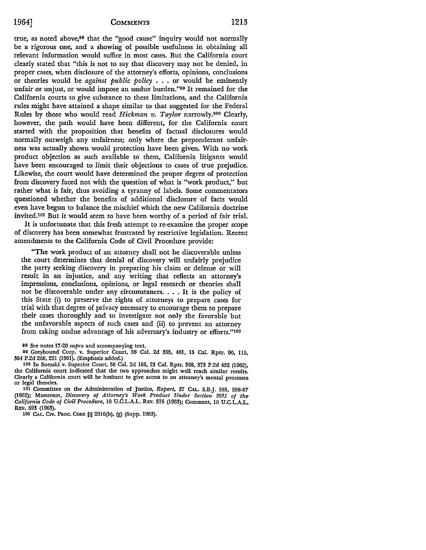true, as noted above,98 that the "good cause" inquiry would not normally be a rigorous one, and a showing of possible usefulness in obtaining all relevant information would suffice in most cases. But the California court clearly stated that "this is not to say that discovery may not be denied, in proper cases, when disclosure of the attorney's efforts, opinions, conclusions or theories would be *against public policy* . . . or would be eminently unfair or unjust, or would impose an undue burden.''99 It remained for the California courts to give substance to these limitations, and the California rules might have attained a shape similar to that suggested for the Federal Rules by those who would read *Hickman v. Taylor* narrowly.10° Clearly, however, the path would have been different, for the California court started with the proposition that benefits of factual disclosures would normally outweigh any unfairness; only where the preponderant unfairness was actually shown would protection have been given. With no work product objection as such available to them, California litigants would have been encouraged to limit their objections to cases of true prejudice. Likewise, the court would have determined the proper degree of protection from discovery faced not with the question of what is "work product," but rather what is fair, thus avoiding a tyranny of labels. Some commentators questioned whether the benefits of additional disclosure of facts would even have begun to balance the mischief which the new California doctrine invited.101 But it would seem to have been worthy of a period of fair trial.

It is unfortunate that this fresh attempt to re-examine the proper scope of discovery has been somewhat frustrated by restrictive legislation. Recent amendments to the California Code of Civil Procedure provide:

"The work product of an attorney shall not be discoverable unless the court determines that denial of discovery will unfairly prejudice the party seeking discovery in preparing his claim or defense or will result in an injustice, and any writing that reflects an attorney's impressions, conclusions, opinions, or legal research or theories shall not be discoverable under any circumstances. . . . It is the policy of this State (i) to preserve the rights of attorneys to prepare cases for trial with that degree of privacy necessary to encourage them to prepare their cases thoroughly and to investigate not only the favorable but the unfavorable aspects of such cases and (ii) to prevent an attorney. from taking undue advantage of his adversary's industry or efforts."102

98 See notes 17-20 *supra* and accompanying text.

119 Greyhound Corp. v. Superior Court, 56 Cal. 2d 355, 401, 15 Cal. Rptr. 90, 115, 364 P.2d 266,291 (1961). (Emphasis added.)

100 In Suezaki v. Superior Court, 58 Cal. 2d 166, 23 Cal. Rptr. 368, 373 P.2d 432 (1962), the California court indicated that the two approaches might well reach similar results. Clearly a California court will be hesitant to give access to an attorney's mental processes or legal theories.

101 Committee on the Administration of Justice, *Report,* 37 CAL. S.B.J. 585, 586-87 (1962); Masterson, *Discovery of Attorney's Work Product Under Section 2031 of the California Code of Civil Procedure,* 10 U.C.L.A.L. REv. 575 (1963); Comment, 10 U.C.L.A.L. REv. 593 (1963).

102 CAL. CIV. PRoc. CoDE §§ 2016(b), (g) (Supp. 1963).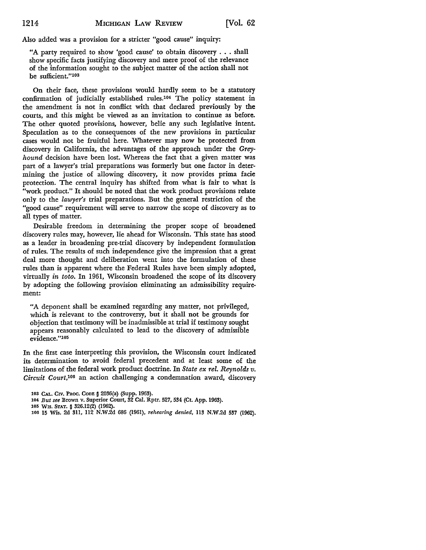Also added was a provision for a stricter "good cause" inquiry:

"A party required to show 'good cause' to obtain discovery . . . shall show specific facts justifying discovery and mere proof of the relevance of the information sought to the subject matter of the action shall not be sufficient."103

On their face, these provisions would hardly seem to be a statutory confirmation of judicially established rules.104 The policy statement in the amendment is not in conflict with that declared previously by the courts, and this might be viewed as an invitation to continue as before. The other quoted provisions, however, belie any such legislative intent. Speculation as to the consequences of the new provisions in particular cases would not be fruitful here. Whatever may now be protected from discovery. in California, the advantages of the approach under the *Greyhound* decision have been lost. Whereas the fact that a given matter was part of a lawyer's trial preparations was formerly but one factor in determining the justice of allowing discovery, it now provides prima facie protection. The central inquiry has shifted from what is fair to what is "work product." It should be noted that the work product provisions relate only to the *lawyer's* trial preparations. But the general restriction of the "good cause" requirement will serve to narrow the scope of discovery as to all types of matter.

Desirable freedom in determining the proper scope of broadened discovery rules may, however, lie ahead for Wisconsin. This state has stood as a leader in broadening pre-trial discovery by independent formulation of rules. The results of such independence give the impression that a great deal more thought and deliberation went into the formulation of these rules than is apparent where the Federal Rules have been simply adopted, virtually *in toto.* In 1961, Wisconsin broadened the scope of its discovery by adopting the following provision eliminating an admissibility requirement:

"A deponent shall be examined regarding any matter, not privileged, which is relevant to the controversy, but it shall not be grounds for objection that testimony will be inadmissible at trial if testimony sought appears reasonably calculated to lead to the discovery of admissible evidence."105

In the first case interpreting this provision, the Wisconsin court indicated its determination to avoid federal precedent and at least some of the limitations of the federal work product doctrine. In *State ex rel. Reynolds v. Circuit Court,106* an action challenging a condemnation award, discovery

10s 15 Wis. 2d 311, 112 N.W.2d 686 (1961), *rehearing denied,* 113 N.W.2d 537 (1962).

<sup>103</sup> CAL. CIV. PROC. ConE § 2036(a) (Supp. 1963).

<sup>104</sup> *But see* Brown v. Superior Court, 32 Cal. Rptr. 527, 534 (Ct. App. 1963).

<sup>105</sup> WIS. STAT. § 326.12(2) (1962).